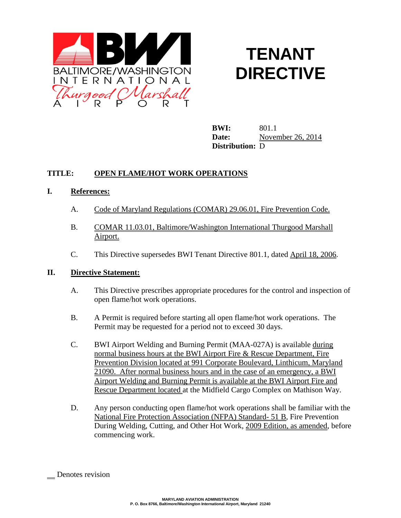

# **TENANT DIRECTIVE**

**BWI:** 801.1 **Date:** November 26, 2014 **Distribution:** D

# **TITLE: OPEN FLAME/HOT WORK OPERATIONS**

## **I. References:**

- A. Code of Maryland Regulations (COMAR) 29.06.01, Fire Prevention Code.
- B. COMAR 11.03.01, Baltimore/Washington International Thurgood Marshall Airport.
- C. This Directive supersedes BWI Tenant Directive 801.1, dated April 18, 2006.

#### **II. Directive Statement:**

- A. This Directive prescribes appropriate procedures for the control and inspection of open flame/hot work operations.
- B. A Permit is required before starting all open flame/hot work operations. The Permit may be requested for a period not to exceed 30 days.
- C. BWI Airport Welding and Burning Permit (MAA-027A) is available during normal business hours at the BWI Airport Fire & Rescue Department, Fire Prevention Division located at 991 Corporate Boulevard, Linthicum, Maryland 21090. After normal business hours and in the case of an emergency, a BWI Airport Welding and Burning Permit is available at the BWI Airport Fire and Rescue Department located at the Midfield Cargo Complex on Mathison Way.
- D. Any person conducting open flame/hot work operations shall be familiar with the National Fire Protection Association (NFPA) Standard- 51 B, Fire Prevention During Welding, Cutting, and Other Hot Work, 2009 Edition, as amended, before commencing work.

Denotes revision